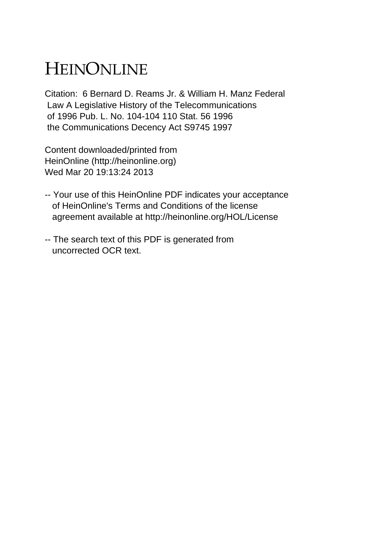# HEINONLINE

Citation: 6 Bernard D. Reams Jr. & William H. Manz Federal Law A Legislative History of the Telecommunications of 1996 Pub. L. No. 104-104 110 Stat. 56 1996 the Communications Decency Act S9745 1997

Content downloaded/printed from HeinOnline (http://heinonline.org) Wed Mar 20 19:13:24 2013

- -- Your use of this HeinOnline PDF indicates your acceptance of HeinOnline's Terms and Conditions of the license agreement available at http://heinonline.org/HOL/License
- -- The search text of this PDF is generated from uncorrected OCR text.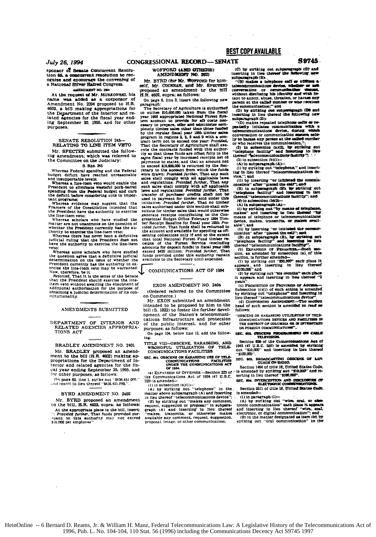sponsor of Senate Concurrent Resolu-<br>tion 66, a concurrent resolution to recognize and encourage the convening of<br>a Natio<mark>nal Sliver Haired Co</mark>ngress.

At the request of Mr. MURKOWSKI, his name **was** added se **a** cosponsor of Amendment No. 2394 proposed to H.R. 4602, a bill making appropriations for the Department of the Interior and related agencies for the fiscal year end-ing September **30. 1995.** and for other Purposes.

# **SENATE** RESOLUTION 245- **RELATING TO LINE ITEM VETO**

Mr. SPECTER submitted the following amendment; which was referred to the Committee on the Judiciary:

**S.** RE. **<sup>245</sup>** Whereas Federal spending and the Federal budget deficit bave reached unreasonable

and insupportable levels,<br>and insupportable levels,<br>Whereas a line-1tem veto would enable the<br>President to eliminate **wasteful** pork-barrel<br>the deficit before considering cuts in impor-<br>the deficit before considering cuts

whereas evidence may suggest that the<br>Framers of the Constitution intended that<br>the President have the authority to exercise<br>the line-item veta:

Whereas scholars who have studied the<br>matter are not unanimous on the question of<br>whether the President currently has the au-<br>thority to exercise the line-item veto;

Whereas there has nover been a definitive<br>judicial ruling that the President does not<br>have the authority to exercise the Une-item<br>veto:

Whereas some scholars who have studied the question agree that **a** definitive judicial determination on the issue of whether the

ercondition of the line of the sense of the warranted:<br>Now, therefore, be it<br> $R_{\text{sol}}$  respects to the Sense of the Senate Resolved, That it is the sense of the Senate<br>that the President should exercise the line-<br>item veto

### AMENDMENTS SUBMITTED

DEPARTMENT OF INTERIOR AND RELATED AGENCIES APPROPRIA<br>
TIONS ACT

### BRADLEY AMENDMENT NO. 2401

Mr. BRADLEY proposed an amend ment to the **bill** (H.R. **4602)** making ap Propriations for the Department of In terior and related agencies for the fis cal year ending September **30, 1995.** am . sr other purposes, a follows:

**1 page 62. line 1. strike out ''\$436.451.000.'**<br>:1,insert in lieu thereof '**'\$426.451.000.''**.

### BYRD AIMENDMENT **NO.** 2402

Mr. BYRD proposed an amendmen to the bill. H.R. 4602, supra; as follows: At the appropriate place in the bill, insert<br>Provided *further*, That funds provided pus 'uant to this authority may cot **exce \$i0.00** per employee"

 $\mathcal{L}^{\mathcal{L}}$ 

## **WOFFORD (AMED GTHERS)**<br> **AMENDMEDIT NO. 2003**

÷,

**Mr.** BYRD **(for** Mr. **WOFso n** for himself. Mr. COCRRAN, and Mr. SPECTER) to<br>proposed an amendment to the bill co

**H.R.** 4602, supra; **as** follows: On **pace 6.** line **3.** insert the following **new** paragraph:

The Secretary of Agriculture is authorized<br>to utilize \$10,600,050 taken from the flecal<br>year 1995 appropriated National Forest Sys-<br>tem account to provide for all costs necno utilize 310,600,000 laken from the flexal<br>year 1995 appropriated National Forest System account to provide for all costs necessary to prepare of<br>the material pole of the propriated within the propriated propriated<br>plete unact term not to exceed one year: Provided. I That the Secretary of Agriculture shall exe-<br>cute the contracts funded with this authoricy **so** that these funds **are** offset **fully** in the **same** fiscal year **by** Increased receipts net **<sup>0</sup>** payments to states. and that **an** amount not to exceed \$10,600,000 is returned by the Secretary to the account from which the funds<br>were drawn: Provided further, That any such search faces and it comply with all applicable 1aws and regulations: Provided further. That any such sales shall comply with aff applicable lews and regulations: Provided further, That **lewS** and regulatione. *Piodie* **furier,** That transfer **of** purchaser credits aftna not **be** used in payment **Ior** timber sold under this inliative: Provided furter. Tha no timber **saies** authorized under this section- shall sub **stitute for** timber sales tat would Otherwise generate receipts contributing, to the Con-<br>gressional Budget Office February 1994 Tim-<br>ber Receipt Baseline for fiscal year 1995: Pro-<br>vided further, That funds shall be returned to<br>the account and available for spending setting collections only if and to the extent that total National Forest Fund timber reseura total National Porest Pand timber receipts of the Forest Service (excluding<br>compounts for deposit funds) in facel year 1996<br>exceed \$420 million: Provided further, That<br>funds provided under this authority remain<br>avail

<sup>J</sup> <sup>7</sup>**.M.UNICATIOS " ACT** OF **<sup>1994</sup>**

### **EXON AMENDMENT NO.** 2404

(Ordered referred to the Committee on Commerce.)

Mr. EXON submitted an amendment intended to be proposed **by** him to the bill **(S. 1822)** to foster the further development **of** the Nation's telecommunications infrastructure and protection of the public interest, and for other **"** purposes: **as follows:**

On page 104. **below** line **12, add** the follow- **ing:**

TiLE **VII--OBSCENE, HARASSING, AND** WRONGFUL UTILIZATION **OF** TELE- COMMUNICAfIONS FACILIES

**-SEC. en1. OBSCENE OR5** iMLIASMGN U.15 **OF** TnL.- **COMAUMCATION9 FAC LFriR UNaDER THE COiMUNICATiONS AC dOF** 1934.

(a) EXPANSION OF OFFENSES.—Section 223 of<br>the Communications Act of 1934 (47 U.S.C.<br>223) is amended—<br>(1) in subsection (a)(1)—<br>(A) by striking out "telephone" in the

matter above subparagraph **IA)** and inserting In the unberof "telecommunications device";<br>
In the U.S. (B) by striking out "makes any comment,<br>  $\ddot{x}$  request, suggestion or proposal" in subpart-<br>  $\ddot{x}$  graph (A) and inserting in Her thereof<br>  $\ddot{x}$  remakes. tran

**(C)** by striking out subparagraph **(B)** and inserting in lieu thereof the following new

**"(By mam a** teephome man **w s 'a,** sieoconmunications device, whether or not or or *cemmunication* the aid oriental or *cemmunication* the oriental or the control of the control of the control of the control of the control of the control of the control of t ent to annoy, abuse, threaten, or **harass MW** jern at thi rined, **urom 0Vo who resulow he** om onisto <sup>t</sup> n;"' **am**

(D) by striking cost subpersignaph (D) as a finite of the context of the following new attention of the following in the set of D) makes repeated telephone cells or re-

**penately initiates communications: with a**<br>elecommunications: dbsien. during. which<br>conversation or communication gasues as bele-<br>y to harms any person at the called number

or who receives the communication."<br>
(2) in subsection (a)(2), by striking out<br>
telephone facility" and functing in Heuring out<br>
hereof "elecommunications facility",<br>
(3) in subsection (b)(1)—

**BEST** COPY **AVAILABLE**

(A).in subparagraph (A)-<br>
(i) by striking out "telephone," and insert-<br>
ing-in lieu thereof "telecommunications deviece"; **and**

**(ii) by inserting "or infinited the communication" after "pisced the call"; and <br>mication" after "pisced the call"; and<br>(B) in subparaely with the interting facility<br>"telephone facility" and inserting in the** thereof "telecommunications facility"; and<br>
(4) in subsection (b)(2)--

experiment of the second control of the second control of the second control of the second control of the second control of the second control of the second control of the second control of the second control of the second

able"; and<br>tication "effecting "or initiated the communication"<br>attaction "effect" placed the call"; and<br>the fight of the "placed the call"; and<br>(B) in subparagraph (B), by explaining to let<br>the phone facility" and inserti

section, is further amended—<br>
(i) by striking out **"S0,000"** each place it<br>appears and inserting in lieu thereof<br> **-100,009,"** and

(2) by striking out 'uis months" each phoe (2) by striking out 'uis months" each phoe

years".<br>
Co) PROBIBITION ON PROVISION OF ACCESS-<br>
Cubsection (c)(i) of such action is amended<br>
by striking out "telephone" and inserting in<br>
Heur thereof "telecommunications device".<br>
(d) CONTORMING AMENOMENT—The seculon

ad of such section is amended to read as

**follows: 'OBSCENE OR HARASSING UITILAIIO' 07** TR

**COMMUNICATIONS DEVICES AND PACILITIES I**<br>THE DISTRICT OF COLUMBIA OR IN LYTERSTAN<br>OR FOREIGN COMMUNICATIONS''.

**am** go **,cfllesM RI** miho **w CIWE** TEL"WISIMA

Section 639 of the Communications Ast of 1943<sup>(47 U.S.C. 569), is amemications hat thereof.</sup>

SEC. 803. **BROADCASTING OESCENE OF LAN-**<br>GUAGE ON BADIO.

Section 1464 of title 12. United States Code.<br>
is amended by striking out "\$10,000" and in-<br>
serting in lieu thereof "\$180,000".

**SEC.** 804. INTERCEPTION AND **DISCLOSURE OF**<br>**ELECTRONIC COMMUNICATIONS.** 

Section 2511 of title 18, United States Cade; **is** amended-

**(ii** in paragraph **(I)--**

(A) by attriking out "wine, cral. or chose<br>tronic communication" each place it appears.<br>and inserting in lieu thereof "wire.. exal. electronic. or digital communication': **and'. (B) in** the matter designated **as Itrm bM. t7** striking **out "oral** communication" in **te"**

### 89745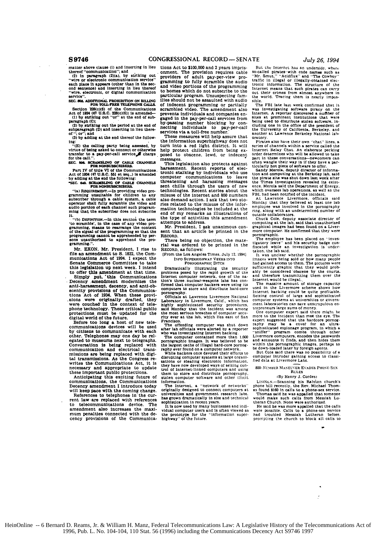matter above clause **(1)** and inserting in lieu

thereof "Communication"; and (2) in paragraph (2)(a). by striking out "wire or electronic communication service" each place It appears (other than in the sec-and sentence) and inserting in lieu thereof •wire. electronic, or digital communication

service". **SEC. SOL aDDMONaL PROHIBITION ON BILLING FOR TOL1,FR TELEPHONE CALLS.**

Section **228(c)(6)** of the Communications Act of 1934 (47 **U.S.C.** 228io)(6)) **in** amended-**Ii1 by** striking out "or" at the end of subparagraph **(C);**

(2) by.striking out the period at the end of subparagraph **(D)** and Inserting in lieu thereof **";** or"; and **(3i by** adding at the end thereof the follow-

**ing:**<br> **''(E)** the calling party being assessed, by<br>
virtue of being asked to connect or otherwise<br>transfer to a pay-per-call service,# charge<br>for the call.".

**SEC. 011. SCRAMBLING OF CABLE CHANNELS FOR** NONSBJSC RIaERS,.

Part IV **of** title VI **of** the Communications Act **of 1934 (47 U.S.C. 551 et** seq.,i is amended **by** adding **at** the **end** the following:

**'SEC. 60. SCRAMBLING OF CABLE CHANNELS FOR NONSUBSCREBERS.**

"(a) REQUIREMENT.—In providing video pro-<br>gramming unsuitable for children to any<br>subscriber through a cable system, a cable<br>operator shall fully scramble the video and<br>audio portion of each channel such programming that the subscriber does not subscribe

it. "(b) DEFINITION.—In this section the term<br>"to scramble", in the case of any video pro-<br>gramming, means to rearrange the content<br>of the signal of the programming so that the<br>programming cannot be apprehended by per-<br>son gramming cannot be apprehended by persons unauthorized to apprehend the programming.".

Mr. **EXON.** Mr. President. **I** rise to file an amendment to **S. 1922.** the Com-munications Act of 1994. **I** expect the Senate Commerce Committee to take this legislation up next week. I intend<br>to offer this amendment at that time.<br>Simply put, 'this Communications<br>Decency amendment modernizes the

anti-harassment, decency, and anti-ob-scenity provisions of the Communications Act of 1934. When these provi-<br>sions were originally drafted, they were couched, in the context of teile-phone technology. These critical public protections. must be updated for the digital world of the future.

Before too long a host of new telecommunications devices will be used **by** citizens to communicate with each other. Telephones may one day be relegated to museums next to telegraphs. Convereation **is** being replaced with communication and electrical transmissions **are** being replaced with **digi-**tal transmissions. As the Congress rewrites the Communications Act, it is necessary and appropriate to update

these important public protections. Anticipating this exciting future of communications, the Communications Decency. amendment I introduce today will keep pace with the coming change.

References to telephones in'the cur-rent law **:are** replaced with references telecommunications device. amendment also increases the maximum penalties connected with the decency provisions of the Communica-

tions Act to **\$100,000** and 2 years imprisonment. The provision requires cable<br>providers of adult pay-per-view programming to fully scramble the audio<br>and video portions of the programming to homes which do not subscribe to the particular program. Unsuspecting families should not be assaulted with audio of indecent programming or partially **scrambled video. The amendment** also prevents individuals and companies en-<br>gaged in the pay-per-call services from<br>by-passing number blocking by con-<br>necting individuals to pay-per-call necting Individuals to pay-per-call services via a toll-free number.'<br>These measures will help assure that

the information superhighway does not turn into **a** red light district. It will posed to obscene, lewd, or indecent .<br>messages.

This legislation also protects against harassment. Recent reports of electronic stalking by individuals who use computer communications to leave threatening and harassing messages sent chills through the users **of new** technologies. Recent stories about the misuse of the internet and **800** numbers also demand action. **I** ask that two stories related to the misuse of the information technologies be included at the end of my remarks as illustrations of the type of activities this amendment attempts to address.

the type of activities.<br>**Mr. President. I ask unanimous con-**<br>sent that an article be printed in the<br>RECORD.

There being no objection, the material was ordered to be printed in the **RECORD,** as follows:

EXPO SUPERHIGHWAY VEERS INTO PORNOGRAPHIC DITCH<br> **Dramatically 11lustrating the security**<br>
problems posed by the rapid growth of the<br>
Internet computer network, one of the na-

nteriate computer newwork, one of the material computer have the<br>dom's three nuclear-weapons labs has con-<br>firmed that computer hackers were using its<br>computers to store and distribute hard-core<br>computers to store and dist

The offending computer was shut down after lab Officlals were alerted **by** a reporter who was investigating Internet hacking.

The compact contained into the large in the large<br>the physical conduction of the largest cache of illegal hard-core pornog<br>raphy ever found on a computer network.<br>While hackers once devoted their efforts to discuss discuss

In the interime, a method connect computers at as fast originally designed to connect computers at as fast of<br>the state of the state of the state of the state of the state state<br>in the state of the state of the state of th

**But** the Internet **has an** underside. wherr so-called pirates, with code names such **as** "Mr. Smut," "Acidflux" and "The Cowboy" traffic **in** illegal or illegally-obtained elec-tronic information. The structure of the lnternet means that such pirates can carry out their crimes from almost anywhere in the world. Tracing them is nearly impossible.<br>The FBI late last week confirmed that it.

The FBI late last week confirmed that it was investigating software piracy on the sites at proprier discovered a number of sites at prominent institutions that were being used to distribute stolen software, in-<br>cluding one in the office of the president of<br>the University of California. Berkeley. and<br>another at Lawrence Berkeley National lab-

oratory. Pirates also have their own -chat" lines, **a** series of channels within a service called the<br>Internet Relay Chat. An elaborate pecking<br>order determines who will be allowed to take<br>part in these conversations—mewomers can<br>often wangle their way in if they have a partic

the Times investigation revealed its existence. Merola said the Department of Energy.<br>which oversees lab operations. as well as the<br>FBI, had been notified of the incident.

At Lawrence Livermore. officials said Monday that they believed at least one **lab** employee was involved in the pornography

ring, along with an undetermined number of<br>outside collaborators.<br>Chuck Cole, deputy associate director of<br>computing at the lab. said that unauthorized<br>graphical images had been found on a Liver-<br>more computer. He confirme

The employee has been placed on "investigatory leave" and his security badge confident<br>fiscated while an investigation is under-<br>taken, the lab said.<br>It was unclear whether the pornographic<br>images were being sold or how m

ably be considered obscene by the courts.<br>and therefore transmitting them over the<br>internet would be illegal,<br>there are apacity<br>the massive amount of storage capacity<br>used in the Livernore scheme shows how<br>internet hacking computer systems at universities or government laboratories can save unscrupulous en-trepreneurs large sums of money. One computer expert said there might **be**

more to the incident than met the eye. The<br>expert suggested that the hardcore pornography may be a cover for an ultra-<br>sophisticated espionare program, in which a<br>"sniffer" program combs through other<br>Livermore computers,

**800 NUMBER MANEUVER EVADES PHONE-SEX** RULES

### (By Henry J. Cordesi

LINCOLN.-Scanning his Ralston church's phone bill recently, the Rev. Michael Thom-

as found **3160 In** calls to **a** phone-sex service. Thoma said he was appalled that someone would make such calls from Messiah Lu-thern Church. None were authorized.

He said he was more appalled that the calls were possible. Calls to a phone-sex service **had** troubled Messiah Lutheran before. pro:nmpting the church **to** block all calls to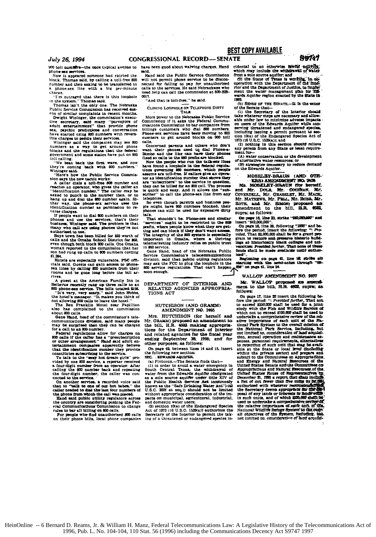Im outraged that there is this loophole 0017.<br>In outraged that there is this loophole 0017.<br>Thomas is the said. **i393.** Thomas said. **i3.**<br>Thomas is the said of the said. **i**2.

The system. Thomas said.<br>Thomas tan't the only one. The Nebraska CLOSING LOOPHOLE ON TELEPHONE DIRTY of the Semite that SENATE.—It is the sen<br>Public Service Commission has received dox-<br>Public Service Commission has receiv

sext measurement can be the companies may see 800 calls. The companies in the companies of the companies and conversation billings customers who dial 800 numbers. Serving threatshood and endangered species,<br>have started us

hang up **and is which was under the caller m** they can be billed for an 800 call. The process<br>
"identification number." The caller may be is quick and easy, And it allows the "sub-<br>
hang up and dial the 800 number again. E

buelness, which we let a services, that's their<br>business, Winlager said. The problem is that<br>many who call are using phones they're not<br>authorized to use.

**con an reported to the commission that her** in 800 service.<br> **Son had rung up calls to 800 numbers costing Gene Hand, head of the Nebraska Public bis**<br> **Son had rung up calls to 800 numbers costing Service.** Commission's

rooms and the gone before before the bill ar-<br>
Motels are specially vulnerable. PSC office in and that public utility regulators assignating on page 47, line 12, strikes all<br>
claim and the gone before the bill ar-<br> **EXALLO** 

not allowing go calls to leave the hotel." **fore the example of the definition** fore the period: ": Previded further, That not

**CONGRESSIONAL** RECORD-SENATE

**Now it** appeared someone had .kirted the Hand said the **Public** Service Cormin son **Itlm** a **sole** sourceaqulfer *"nd* block. Thomas said, by calling a toll-free 800 will not permit phone service to be discon- (3) the State of Texas is working. In co-<br>number and then asking to be transferred to nected for failing to pay for unauthorized op

the secretary, and **many ''numeral community** of *Community* of *Community* and *Community* and *Community* in *it assumed to many ''numeral Community* and  $\alpha$  and  $\alpha$  and  $\alpha$  is a single under  $\alpha$  and  $\alpha$  and  $\alpha$  an and the extremal means "pures of countliness our published from the search of the Edwards Aquiter while con-<br>adult entertainment" that provide phone nications Commission to bar companies from on users of the Edwards Aquite

numbers as a way to get around phone<br>numbers as a way to get around phone compensation and cohere who don't give the continues as a way to get around phone<br>numbers and the federal want their phone a used to distant the red A caller disle activities are more and are "subscribers" to the service in question.<br>reaches an operator, who gives the caller an analy can be billed the an society. The process and MCSELEY-BRAUN (TOP Reveals).

**If the Charges.**<br>If people want to dial 800 numbers on their calk.<br>If people want to dial 800 numbers on their calk.<br>hones and use the services, that's their That shouldn't be. Phone-sex and similar

phones can still be used for expensive dirty<br>
That suppre, as follows:<br>
That shouldn't be. Phone-sex and similar<br>
"services" ought to be restricted to the 900 linear "\$42,000,000".<br>
Dentis, where people know what they are many who call are using bonds they we not perfix. where people know what they are set.<br>In the people from the period, insert the following "1936" and the set of the period. Insert the following "1939" and the dual performa

Strike Commission's Coloration in the Commission's Commission in the Commission of the Commission's Commission in the Commission state of the Commission in the Commission state of the Commission and the process of the Colo

Mr. GRAMM) proposed an amendment to the Dill, H.R. 4692 making appropriations for the Department of Interior and related agencies for the fiscal year ending September 36, 1995, and for Pederal regulations allow for charges on and related agencies for the Escal year mot imited to consideration of hast somis-<br>800 calls if the caller has a "presubscription ending September 36, 1995; and for the sear present

of the match of which may include the once typical avenue to have been good about warving charges. Hand cidental to an otherwise haven facily and the set of water of water of water of water of water of water of water of wa

meed help can call the commission at 800-528- ment the water management plan for Eff-<br>I'm outraged that there is this loophole 0017.<br>Yoss wards Aquifer region enacted by the State in

chi the Secretary of the Interior should<br>Chi of Secretary of the Interior should<br>Dwight Wininger, the commission's execu-<br>Dwight Wininger, the commission's execu-

they can be billed the an 800 call. The process rose. MACSELEY-HARUNT RUN and the phone-sex line from any COVERDELL, Mr. GRASSLET, Mr. MACK, telephone.<br>scriber" to call the phone-sex line from any COVERDELL, Mr. GRASSLET, the way, the phone-sex service uses the So even though parents and business peo- EOTE, and Mr. SIMON) proposed as<br>Identification number as permission to re- ple might have 900 numbers blocked, their amendment to the bill.

woman reported to the commission based of the integrity of the 800 system is especially vided. That \$2,000,000 shall be for a grant pro-<br>calls and the Onnaha Schemarketing industry relies on public trust large at integrate

A guest at the American Pamily Inn in<br>Bellevue recently range up throw a method of an intervention of the Section of Mar. WALLOP proposed and method<br>800 phone-sex sexuos. The bills totaled \$156. RELATED AGENCIES APPROPRIA

The **Ben** Franklin Motel **near** Papillion **HUTCHI9ON (ANDG** RAMM) to exceed **\$20008** shall **be** used for **a.** joint. and the completies of the commission<br>about a straight and the commission and the commission and a straight and the straight of the commission<br>Concelled the commission is tele-<br>Communications and the commission is tele-<br>Com The big approximate the big the Disputer of the Disputer and the computer of a call to an 800 number.<br>
Follows: to related agencies for the Bepartment of Interior the National Park Service, including, but<br>
Federal requirem that the ifencification **mber** they **provide** On page **41K** between lines 14 **and** Mi insert **able** at the State or local **levneaf** anefadf constitutes **seuhcrihin** to *the* **service.** the following new **aection:** within tbs Private **sector) and "sM and** To talk to the **" y** ho dream **giirls'pro-** SEC. . **EDWARD6** *AQUIFl* Submit to the Committees **on** Airopra n sf *,* video by one 600 service. A reporter received (a) PINDINGS.—The Senate finds that.<br>
indifferently and Energy and Research of the control of the Senate finds that the service of the control of the calibration of the calibr To talk to the "easy hot dream girls" pro- SEC. . EDWARDS AQUITER.<br>
without one followed from an operators are a forest received (a) Findings the Source of the Source of the Source of the Source of the Source of the Sourc the country are considering pushing the Fed- and domestic water users.<br>The communications continued by the Euclidean Schedule of the Euclidean Schedule and the extreme information of the Euclidean College and Schedule and

### **BEST** COPY **AVAILABLE**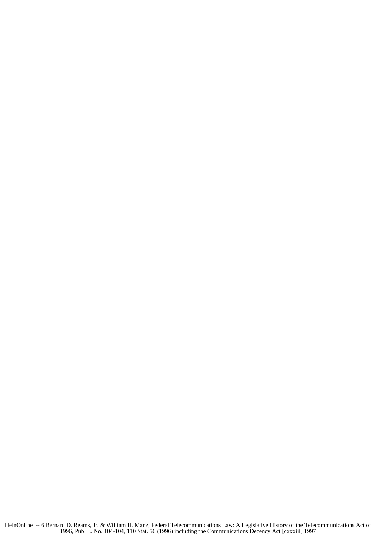HeinOnline -- 6 Bernard D. Reams, Jr. & William H. Manz, Federal Telecommunications Law: A Legislative History of the Telecommunications Act of 1996, Pub. L. No. 104-104, 110 Stat. 56 (1996) including the Communications Decency Act [cxxxiii] 1997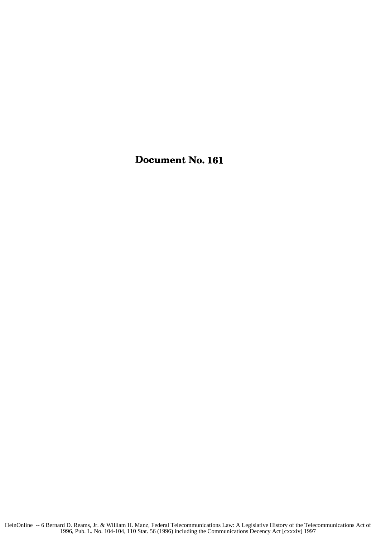# Document No. **161**

 $\ddot{\phantom{a}}$